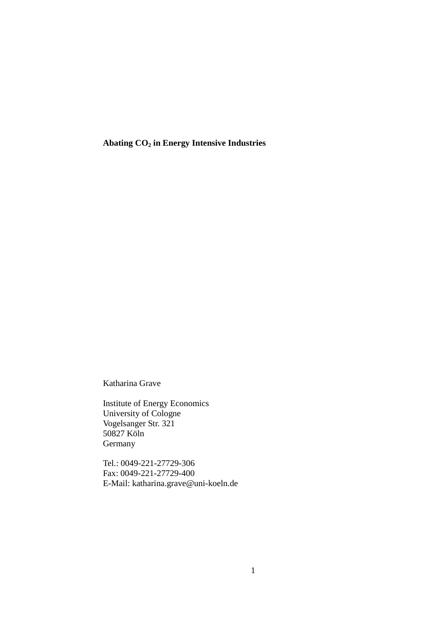**Abating CO2 in Energy Intensive Industries** 

Katharina Grave

Institute of Energy Economics University of Cologne Vogelsanger Str. 321 50827 Köln Germany

Tel.: 0049-221-27729-306 Fax: 0049-221-27729-400 E-Mail: katharina.grave@uni-koeln.de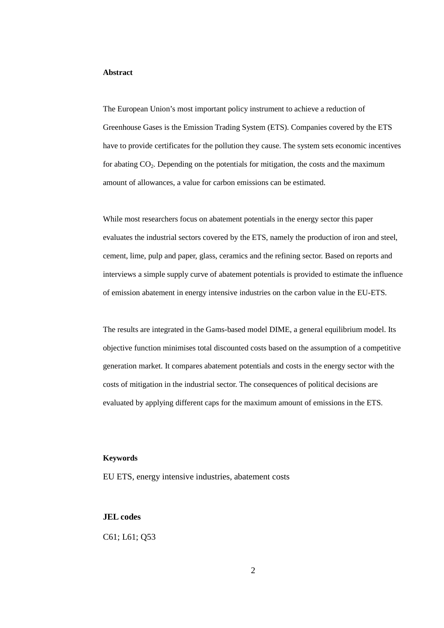## **Abstract**

The European Union's most important policy instrument to achieve a reduction of Greenhouse Gases is the Emission Trading System (ETS). Companies covered by the ETS have to provide certificates for the pollution they cause. The system sets economic incentives for abating  $CO<sub>2</sub>$ . Depending on the potentials for mitigation, the costs and the maximum amount of allowances, a value for carbon emissions can be estimated.

While most researchers focus on abatement potentials in the energy sector this paper evaluates the industrial sectors covered by the ETS, namely the production of iron and steel, cement, lime, pulp and paper, glass, ceramics and the refining sector. Based on reports and interviews a simple supply curve of abatement potentials is provided to estimate the influence of emission abatement in energy intensive industries on the carbon value in the EU-ETS.

The results are integrated in the Gams-based model DIME, a general equilibrium model. Its objective function minimises total discounted costs based on the assumption of a competitive generation market. It compares abatement potentials and costs in the energy sector with the costs of mitigation in the industrial sector. The consequences of political decisions are evaluated by applying different caps for the maximum amount of emissions in the ETS.

### **Keywords**

EU ETS, energy intensive industries, abatement costs

## **JEL codes**

C61; L61; Q53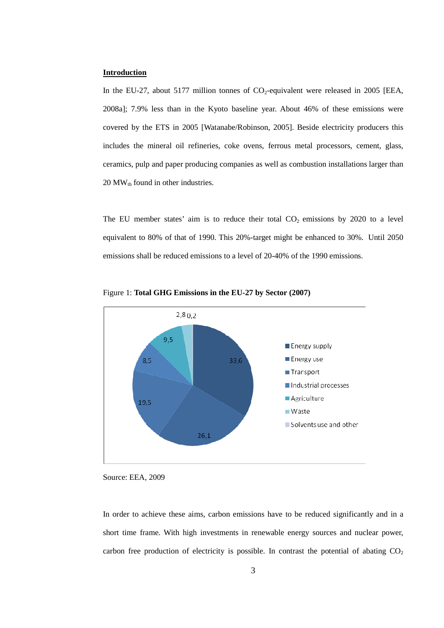## **Introduction**

In the EU-27, about 5177 million tonnes of  $CO<sub>2</sub>$ -equivalent were released in 2005 [EEA, 2008a]; 7.9% less than in the Kyoto baseline year. About 46% of these emissions were covered by the ETS in 2005 [Watanabe/Robinson, 2005]. Beside electricity producers this includes the mineral oil refineries, coke ovens, ferrous metal processors, cement, glass, ceramics, pulp and paper producing companies as well as combustion installations larger than  $20\,\mathrm{MW}_{\mathrm{th}}$  found in other industries.

The EU member states' aim is to reduce their total  $CO<sub>2</sub>$  emissions by 2020 to a level equivalent to 80% of that of 1990. This 20%-target might be enhanced to 30%. Until 2050 emissions shall be reduced emissions to a level of 20-40% of the 1990 emissions.



Figure 1: **Total GHG Emissions in the EU-27 by Sector (2007)**

In order to achieve these aims, carbon emissions have to be reduced significantly and in a short time frame. With high investments in renewable energy sources and nuclear power, carbon free production of electricity is possible. In contrast the potential of abating  $CO<sub>2</sub>$ 

Source: EEA, 2009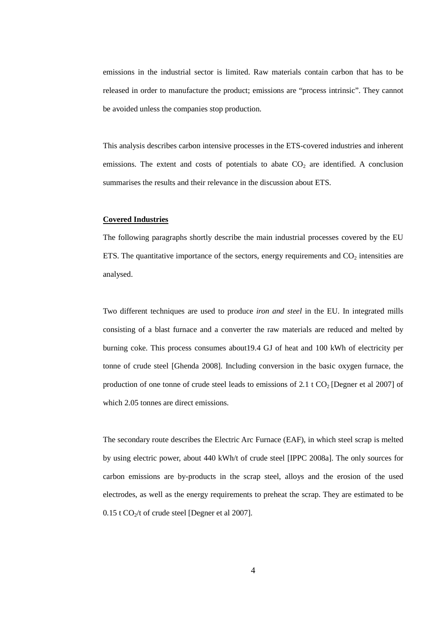emissions in the industrial sector is limited. Raw materials contain carbon that has to be released in order to manufacture the product; emissions are "process intrinsic". They cannot be avoided unless the companies stop production.

This analysis describes carbon intensive processes in the ETS-covered industries and inherent emissions. The extent and costs of potentials to abate  $CO<sub>2</sub>$  are identified. A conclusion summarises the results and their relevance in the discussion about ETS.

#### **Covered Industries**

The following paragraphs shortly describe the main industrial processes covered by the EU ETS. The quantitative importance of the sectors, energy requirements and  $CO<sub>2</sub>$  intensities are analysed.

Two different techniques are used to produce *iron and steel* in the EU. In integrated mills consisting of a blast furnace and a converter the raw materials are reduced and melted by burning coke. This process consumes about19.4 GJ of heat and 100 kWh of electricity per tonne of crude steel [Ghenda 2008]. Including conversion in the basic oxygen furnace, the production of one tonne of crude steel leads to emissions of 2.1 t  $CO<sub>2</sub>$  [Degner et al 2007] of which 2.05 tonnes are direct emissions.

The secondary route describes the Electric Arc Furnace (EAF), in which steel scrap is melted by using electric power, about 440 kWh/t of crude steel [IPPC 2008a]. The only sources for carbon emissions are by-products in the scrap steel, alloys and the erosion of the used electrodes, as well as the energy requirements to preheat the scrap. They are estimated to be  $0.15$  t CO<sub>2</sub>/t of crude steel [Degner et al 2007].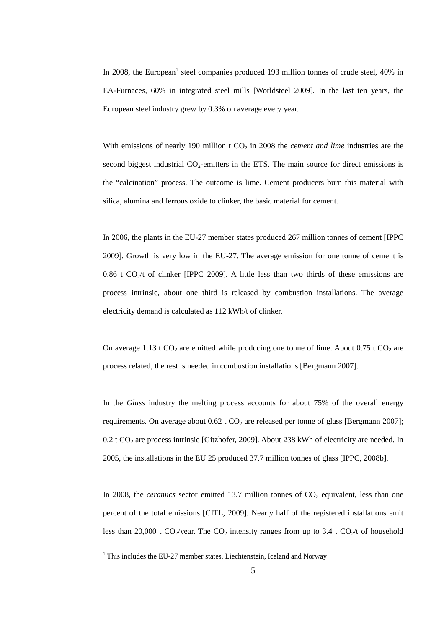In 2008, the European<sup>1</sup> steel companies produced 193 million tonnes of crude steel, 40% in EA-Furnaces, 60% in integrated steel mills [Worldsteel 2009]. In the last ten years, the European steel industry grew by 0.3% on average every year.

With emissions of nearly 190 million t  $CO<sub>2</sub>$  in 2008 the *cement and lime* industries are the second biggest industrial  $CO<sub>2</sub>$ -emitters in the ETS. The main source for direct emissions is the "calcination" process. The outcome is lime. Cement producers burn this material with silica, alumina and ferrous oxide to clinker, the basic material for cement.

In 2006, the plants in the EU-27 member states produced 267 million tonnes of cement [IPPC 2009]. Growth is very low in the EU-27. The average emission for one tonne of cement is 0.86 t  $CO_2/t$  of clinker [IPPC 2009]. A little less than two thirds of these emissions are process intrinsic, about one third is released by combustion installations. The average electricity demand is calculated as 112 kWh/t of clinker.

On average 1.13 t  $CO_2$  are emitted while producing one tonne of lime. About 0.75 t  $CO_2$  are process related, the rest is needed in combustion installations [Bergmann 2007].

In the *Glass* industry the melting process accounts for about 75% of the overall energy requirements. On average about  $0.62$  t  $CO<sub>2</sub>$  are released per tonne of glass [Bergmann 2007];  $0.2$  t CO<sub>2</sub> are process intrinsic [Gitzhofer, 2009]. About 238 kWh of electricity are needed. In 2005, the installations in the EU 25 produced 37.7 million tonnes of glass [IPPC, 2008b].

In 2008, the *ceramics* sector emitted 13.7 million tonnes of  $CO<sub>2</sub>$  equivalent, less than one percent of the total emissions [CITL, 2009]. Nearly half of the registered installations emit less than 20,000 t CO<sub>2</sub>/year. The CO<sub>2</sub> intensity ranges from up to 3.4 t CO<sub>2</sub>/t of household

<sup>&</sup>lt;sup>1</sup> This includes the EU-27 member states, Liechtenstein, Iceland and Norway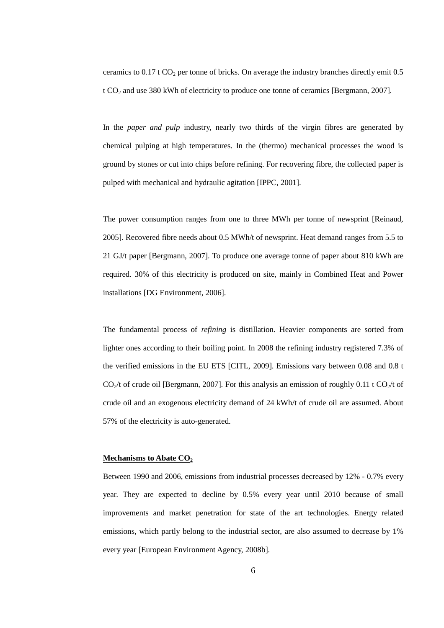ceramics to  $0.17$  t CO<sub>2</sub> per tonne of bricks. On average the industry branches directly emit 0.5 t CO2 and use 380 kWh of electricity to produce one tonne of ceramics [Bergmann, 2007].

In the *paper and pulp* industry, nearly two thirds of the virgin fibres are generated by chemical pulping at high temperatures. In the (thermo) mechanical processes the wood is ground by stones or cut into chips before refining. For recovering fibre, the collected paper is pulped with mechanical and hydraulic agitation [IPPC, 2001].

The power consumption ranges from one to three MWh per tonne of newsprint [Reinaud, 2005]. Recovered fibre needs about 0.5 MWh/t of newsprint. Heat demand ranges from 5.5 to 21 GJ/t paper [Bergmann, 2007]. To produce one average tonne of paper about 810 kWh are required. 30% of this electricity is produced on site, mainly in Combined Heat and Power installations [DG Environment, 2006].

The fundamental process of *refining* is distillation. Heavier components are sorted from lighter ones according to their boiling point. In 2008 the refining industry registered 7.3% of the verified emissions in the EU ETS [CITL, 2009]. Emissions vary between 0.08 and 0.8 t  $CO<sub>2</sub>/t$  of crude oil [Bergmann, 2007]. For this analysis an emission of roughly 0.11 t CO<sub>2</sub>/t of crude oil and an exogenous electricity demand of 24 kWh/t of crude oil are assumed. About 57% of the electricity is auto-generated.

# **Mechanisms to Abate CO<sup>2</sup>**

Between 1990 and 2006, emissions from industrial processes decreased by 12% - 0.7% every year. They are expected to decline by 0.5% every year until 2010 because of small improvements and market penetration for state of the art technologies. Energy related emissions, which partly belong to the industrial sector, are also assumed to decrease by 1% every year [European Environment Agency, 2008b].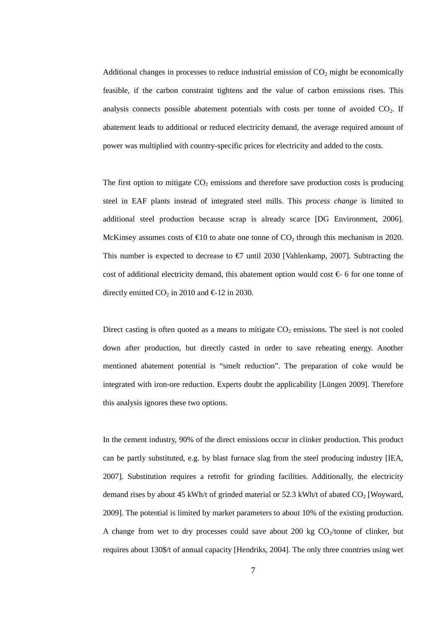Additional changes in processes to reduce industrial emission of  $CO<sub>2</sub>$  might be economically feasible, if the carbon constraint tightens and the value of carbon emissions rises. This analysis connects possible abatement potentials with costs per tonne of avoided  $CO<sub>2</sub>$ . If abatement leads to additional or reduced electricity demand, the average required amount of power was multiplied with country-specific prices for electricity and added to the costs.

The first option to mitigate  $CO<sub>2</sub>$  emissions and therefore save production costs is producing steel in EAF plants instead of integrated steel mills. This *process change* is limited to additional steel production because scrap is already scarce [DG Environment, 2006]. McKinsey assumes costs of  $\epsilon$ 10 to abate one tonne of CO<sub>2</sub> through this mechanism in 2020. This number is expected to decrease to  $\epsilon$ 7 until 2030 [Vahlenkamp, 2007]. Subtracting the cost of additional electricity demand, this abatement option would cost  $\epsilon$ -6 for one tonne of directly emitted  $CO_2$  in 2010 and  $\epsilon$ -12 in 2030.

Direct casting is often quoted as a means to mitigate  $CO<sub>2</sub>$  emissions. The steel is not cooled down after production, but directly casted in order to save reheating energy. Another mentioned abatement potential is "smelt reduction". The preparation of coke would be integrated with iron-ore reduction. Experts doubt the applicability [Lüngen 2009]. Therefore this analysis ignores these two options.

In the cement industry, 90% of the direct emissions occur in clinker production. This product can be partly substituted, e.g. by blast furnace slag from the steel producing industry [IEA, 2007]. Substitution requires a retrofit for grinding facilities. Additionally, the electricity demand rises by about 45 kWh/t of grinded material or  $52.3$  kWh/t of abated CO<sub>2</sub> [Woyward, 2009]. The potential is limited by market parameters to about 10% of the existing production. A change from wet to dry processes could save about 200 kg  $CO<sub>2</sub>/tonne$  of clinker, but requires about 130\$/t of annual capacity [Hendriks, 2004]. The only three countries using wet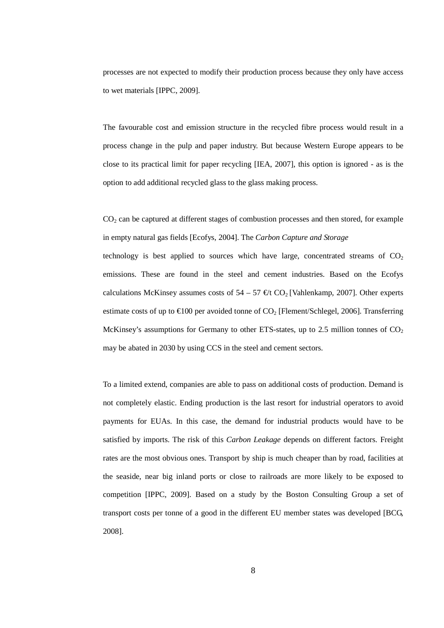processes are not expected to modify their production process because they only have access to wet materials [IPPC, 2009].

The favourable cost and emission structure in the recycled fibre process would result in a process change in the pulp and paper industry. But because Western Europe appears to be close to its practical limit for paper recycling [IEA, 2007], this option is ignored - as is the option to add additional recycled glass to the glass making process.

CO<sub>2</sub> can be captured at different stages of combustion processes and then stored, for example in empty natural gas fields [Ecofys, 2004]. The *Carbon Capture and Storage* 

technology is best applied to sources which have large, concentrated streams of  $CO<sub>2</sub>$ emissions. These are found in the steel and cement industries. Based on the Ecofys calculations McKinsey assumes costs of  $54 - 57 \in /tCO_2$  [Vahlenkamp, 2007]. Other experts estimate costs of up to  $\epsilon$ 100 per avoided tonne of  $\Omega$ <sub>2</sub> [Flement/Schlegel, 2006]. Transferring McKinsey's assumptions for Germany to other ETS-states, up to 2.5 million tonnes of  $CO<sub>2</sub>$ may be abated in 2030 by using CCS in the steel and cement sectors.

To a limited extend, companies are able to pass on additional costs of production. Demand is not completely elastic. Ending production is the last resort for industrial operators to avoid payments for EUAs. In this case, the demand for industrial products would have to be satisfied by imports. The risk of this *Carbon Leakage* depends on different factors. Freight rates are the most obvious ones. Transport by ship is much cheaper than by road, facilities at the seaside, near big inland ports or close to railroads are more likely to be exposed to competition [IPPC, 2009]. Based on a study by the Boston Consulting Group a set of transport costs per tonne of a good in the different EU member states was developed [BCG, 2008].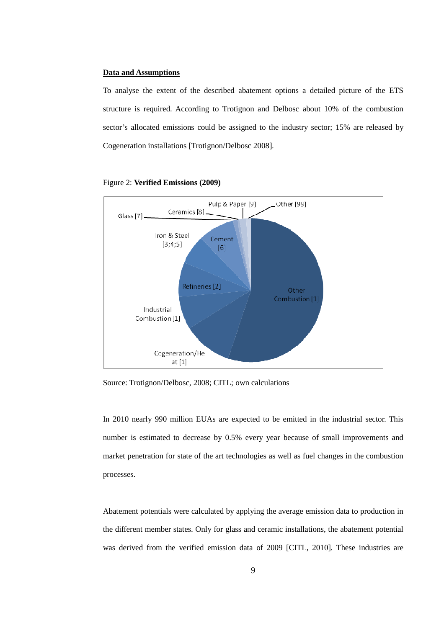# **Data and Assumptions**

To analyse the extent of the described abatement options a detailed picture of the ETS structure is required. According to Trotignon and Delbosc about 10% of the combustion sector's allocated emissions could be assigned to the industry sector; 15% are released by Cogeneration installations [Trotignon/Delbosc 2008].



#### Figure 2: **Verified Emissions (2009)**

Source: Trotignon/Delbosc, 2008; CITL; own calculations

In 2010 nearly 990 million EUAs are expected to be emitted in the industrial sector. This number is estimated to decrease by 0.5% every year because of small improvements and market penetration for state of the art technologies as well as fuel changes in the combustion processes.

Abatement potentials were calculated by applying the average emission data to production in the different member states. Only for glass and ceramic installations, the abatement potential was derived from the verified emission data of 2009 [CITL, 2010]. These industries are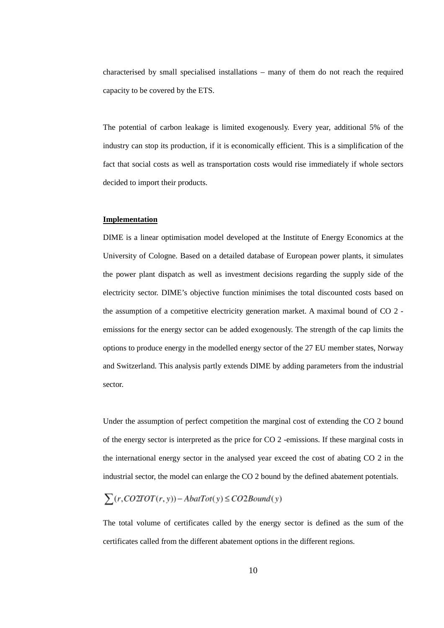characterised by small specialised installations – many of them do not reach the required capacity to be covered by the ETS.

The potential of carbon leakage is limited exogenously. Every year, additional 5% of the industry can stop its production, if it is economically efficient. This is a simplification of the fact that social costs as well as transportation costs would rise immediately if whole sectors decided to import their products.

#### **Implementation**

DIME is a linear optimisation model developed at the Institute of Energy Economics at the University of Cologne. Based on a detailed database of European power plants, it simulates the power plant dispatch as well as investment decisions regarding the supply side of the electricity sector. DIME's objective function minimises the total discounted costs based on the assumption of a competitive electricity generation market. A maximal bound of CO 2 emissions for the energy sector can be added exogenously. The strength of the cap limits the options to produce energy in the modelled energy sector of the 27 EU member states, Norway and Switzerland. This analysis partly extends DIME by adding parameters from the industrial sector.

Under the assumption of perfect competition the marginal cost of extending the CO 2 bound of the energy sector is interpreted as the price for CO 2 -emissions. If these marginal costs in the international energy sector in the analysed year exceed the cost of abating CO 2 in the industrial sector, the model can enlarge the CO 2 bound by the defined abatement potentials.

$$
\sum (r, CO2TOT(r, y)) - AbatTot(y) \le CO2Bound(y)
$$

The total volume of certificates called by the energy sector is defined as the sum of the certificates called from the different abatement options in the different regions.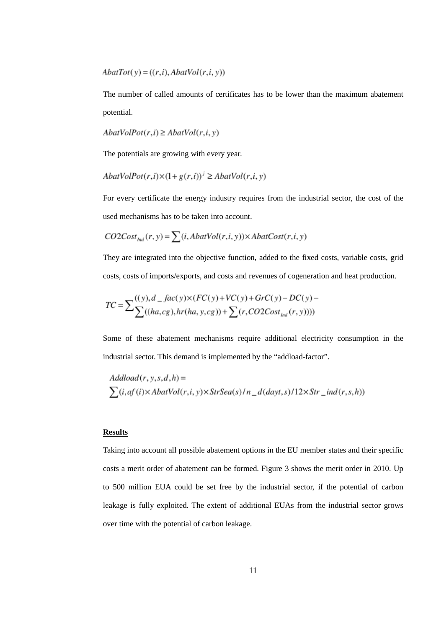$AbatTot(v) = ((r,i), AbatVol(r,i, v))$ 

The number of called amounts of certificates has to be lower than the maximum abatement potential.

$$
AbatVolPot(r,i) \ge AbatVol(r,i,y)
$$

The potentials are growing with every year.

$$
AbatVolPot(r,i)\times(1+g(r,i))^j \ge AbatVol(r,i,y)
$$

For every certificate the energy industry requires from the industrial sector, the cost of the used mechanisms has to be taken into account.

$$
CO2Cost_{\text{Ind}}(r, y) = \sum (i, AbatVol(r, i, y)) \times AbatCost(r, i, y)
$$

They are integrated into the objective function, added to the fixed costs, variable costs, grid costs, costs of imports/exports, and costs and revenues of cogeneration and heat production.

Some of these abatement mechanisms require additional electricity consumption in the industrial sector. This demand is implemented by the "addload-factor".

$$
Addload(r, y, s, d, h) =
$$
  
 
$$
\sum (i, af(i) \times AbatVol(r, i, y) \times Str Sea(s) / n_d(dayt, s) / 12 \times Str_d(r, s, h))
$$

### **Results**

Taking into account all possible abatement options in the EU member states and their specific costs a merit order of abatement can be formed. Figure 3 shows the merit order in 2010. Up to 500 million EUA could be set free by the industrial sector, if the potential of carbon leakage is fully exploited. The extent of additional EUAs from the industrial sector grows over time with the potential of carbon leakage.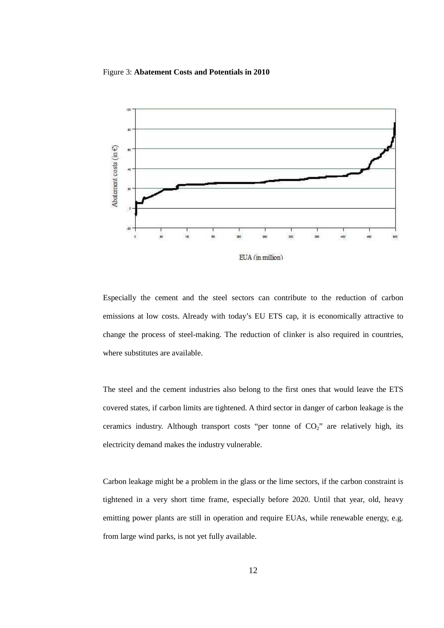## Figure 3: **Abatement Costs and Potentials in 2010**



Especially the cement and the steel sectors can contribute to the reduction of carbon emissions at low costs. Already with today's EU ETS cap, it is economically attractive to change the process of steel-making. The reduction of clinker is also required in countries, where substitutes are available.

The steel and the cement industries also belong to the first ones that would leave the ETS covered states, if carbon limits are tightened. A third sector in danger of carbon leakage is the ceramics industry. Although transport costs "per tonne of  $CO<sub>2</sub>$ " are relatively high, its electricity demand makes the industry vulnerable.

Carbon leakage might be a problem in the glass or the lime sectors, if the carbon constraint is tightened in a very short time frame, especially before 2020. Until that year, old, heavy emitting power plants are still in operation and require EUAs, while renewable energy, e.g. from large wind parks, is not yet fully available.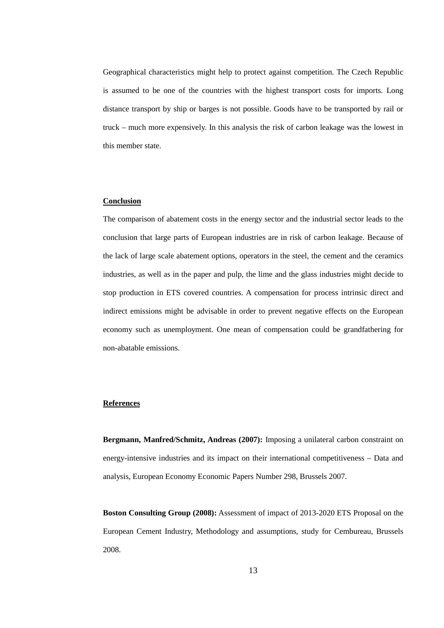Geographical characteristics might help to protect against competition. The Czech Republic is assumed to be one of the countries with the highest transport costs for imports. Long distance transport by ship or barges is not possible. Goods have to be transported by rail or truck – much more expensively. In this analysis the risk of carbon leakage was the lowest in this member state.

# **Conclusion**

The comparison of abatement costs in the energy sector and the industrial sector leads to the conclusion that large parts of European industries are in risk of carbon leakage. Because of the lack of large scale abatement options, operators in the steel, the cement and the ceramics industries, as well as in the paper and pulp, the lime and the glass industries might decide to stop production in ETS covered countries. A compensation for process intrinsic direct and indirect emissions might be advisable in order to prevent negative effects on the European economy such as unemployment. One mean of compensation could be grandfathering for non-abatable emissions.

## **References**

**Bergmann, Manfred/Schmitz, Andreas (2007):** Imposing a unilateral carbon constraint on energy-intensive industries and its impact on their international competitiveness – Data and analysis, European Economy Economic Papers Number 298, Brussels 2007.

**Boston Consulting Group (2008):** Assessment of impact of 2013-2020 ETS Proposal on the European Cement Industry, Methodology and assumptions, study for Cembureau, Brussels 2008.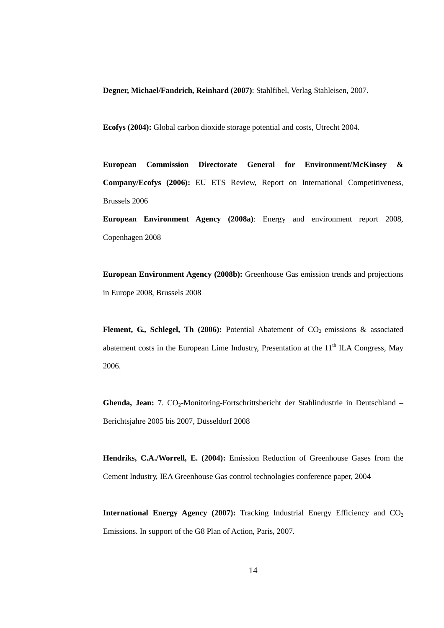**Degner, Michael/Fandrich, Reinhard (2007)**: Stahlfibel, Verlag Stahleisen, 2007.

**Ecofys (2004):** Global carbon dioxide storage potential and costs, Utrecht 2004.

**European Commission Directorate General for Environment/McKinsey & Company/Ecofys (2006):** EU ETS Review, Report on International Competitiveness, Brussels 2006

**European Environment Agency (2008a)**: Energy and environment report 2008, Copenhagen 2008

**European Environment Agency (2008b):** Greenhouse Gas emission trends and projections in Europe 2008, Brussels 2008

Flement, G., Schlegel, Th (2006): Potential Abatement of CO<sub>2</sub> emissions & associated abatement costs in the European Lime Industry, Presentation at the 11<sup>th</sup> ILA Congress, May 2006.

Ghenda, Jean: 7. CO<sub>2</sub>-Monitoring-Fortschrittsbericht der Stahlindustrie in Deutschland – Berichtsjahre 2005 bis 2007, Düsseldorf 2008

**Hendriks, C.A./Worrell, E. (2004):** Emission Reduction of Greenhouse Gases from the Cement Industry, IEA Greenhouse Gas control technologies conference paper, 2004

**International Energy Agency (2007):** Tracking Industrial Energy Efficiency and  $CO<sub>2</sub>$ Emissions. In support of the G8 Plan of Action, Paris, 2007.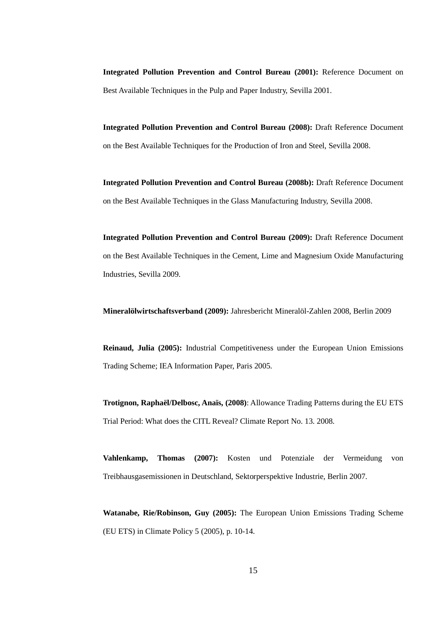**Integrated Pollution Prevention and Control Bureau (2001):** Reference Document on Best Available Techniques in the Pulp and Paper Industry, Sevilla 2001.

**Integrated Pollution Prevention and Control Bureau (2008):** Draft Reference Document on the Best Available Techniques for the Production of Iron and Steel, Sevilla 2008.

**Integrated Pollution Prevention and Control Bureau (2008b):** Draft Reference Document on the Best Available Techniques in the Glass Manufacturing Industry, Sevilla 2008.

**Integrated Pollution Prevention and Control Bureau (2009):** Draft Reference Document on the Best Available Techniques in the Cement, Lime and Magnesium Oxide Manufacturing Industries, Sevilla 2009.

**Mineralölwirtschaftsverband (2009):** Jahresbericht Mineralöl-Zahlen 2008, Berlin 2009

**Reinaud, Julia (2005):** Industrial Competitiveness under the European Union Emissions Trading Scheme; IEA Information Paper, Paris 2005.

**Trotignon, Raphaël/Delbosc, Anaïs, (2008)**: Allowance Trading Patterns during the EU ETS Trial Period: What does the CITL Reveal? Climate Report No. 13. 2008.

**Vahlenkamp, Thomas (2007):** Kosten und Potenziale der Vermeidung von Treibhausgasemissionen in Deutschland, Sektorperspektive Industrie, Berlin 2007.

**Watanabe, Rie/Robinson, Guy (2005):** The European Union Emissions Trading Scheme (EU ETS) in Climate Policy 5 (2005), p. 10-14.